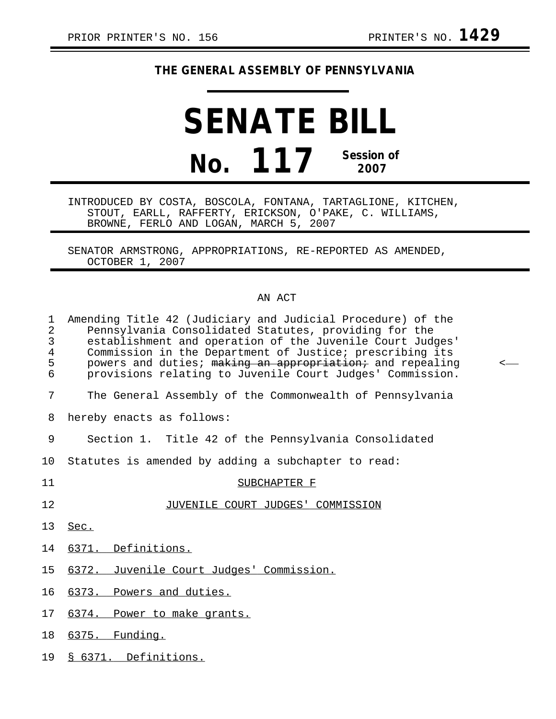## **THE GENERAL ASSEMBLY OF PENNSYLVANIA**

## **SENATE BILL No. 117 Session of 2007**

INTRODUCED BY COSTA, BOSCOLA, FONTANA, TARTAGLIONE, KITCHEN, STOUT, EARLL, RAFFERTY, ERICKSON, O'PAKE, C. WILLIAMS, BROWNE, FERLO AND LOGAN, MARCH 5, 2007

SENATOR ARMSTRONG, APPROPRIATIONS, RE-REPORTED AS AMENDED, OCTOBER 1, 2007

## AN ACT

| $\mathbf{1}$<br>$\overline{2}$<br>3<br>4<br>5<br>6 | Amending Title 42 (Judiciary and Judicial Procedure) of the<br>Pennsylvania Consolidated Statutes, providing for the<br>establishment and operation of the Juvenile Court Judges'<br>Commission in the Department of Justice; prescribing its<br>powers and duties; making an appropriation; and repealing<br>provisions relating to Juvenile Court Judges' Commission. | $\,<\,$ |
|----------------------------------------------------|-------------------------------------------------------------------------------------------------------------------------------------------------------------------------------------------------------------------------------------------------------------------------------------------------------------------------------------------------------------------------|---------|
| 7                                                  | The General Assembly of the Commonwealth of Pennsylvania                                                                                                                                                                                                                                                                                                                |         |
| 8                                                  | hereby enacts as follows:                                                                                                                                                                                                                                                                                                                                               |         |
| 9                                                  | Section 1. Title 42 of the Pennsylvania Consolidated                                                                                                                                                                                                                                                                                                                    |         |
| 10 <sub>1</sub>                                    | Statutes is amended by adding a subchapter to read:                                                                                                                                                                                                                                                                                                                     |         |
| 11                                                 | SUBCHAPTER F                                                                                                                                                                                                                                                                                                                                                            |         |
| 12                                                 | JUVENILE COURT JUDGES' COMMISSION                                                                                                                                                                                                                                                                                                                                       |         |
| 13                                                 | Sec.                                                                                                                                                                                                                                                                                                                                                                    |         |
| 14                                                 | 6371. Definitions.                                                                                                                                                                                                                                                                                                                                                      |         |
| 15                                                 | 6372. Juvenile Court Judges' Commission.                                                                                                                                                                                                                                                                                                                                |         |
| 16                                                 | 6373. Powers and duties.                                                                                                                                                                                                                                                                                                                                                |         |
| 17                                                 | 6374. Power to make grants.                                                                                                                                                                                                                                                                                                                                             |         |
| 18                                                 | 6375. Funding.                                                                                                                                                                                                                                                                                                                                                          |         |
|                                                    |                                                                                                                                                                                                                                                                                                                                                                         |         |

19 § 6371. Definitions.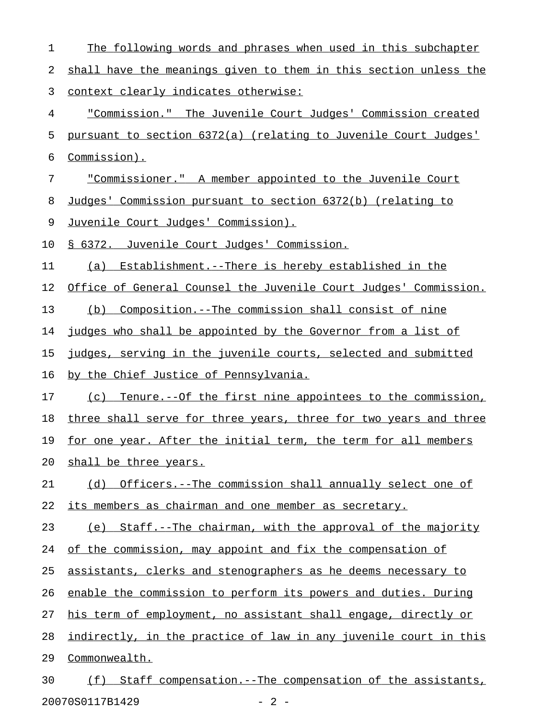| 1  | The following words and phrases when used in this subchapter     |
|----|------------------------------------------------------------------|
| 2  | shall have the meanings given to them in this section unless the |
| 3  | <u>context clearly indicates otherwise:</u>                      |
| 4  | "Commission." The Juvenile Court Judges' Commission created      |
| 5  | pursuant to section 6372(a) (relating to Juvenile Court Judges'  |
| 6  | Commission).                                                     |
| 7  | "Commissioner." A member appointed to the Juvenile Court         |
| 8  | Judges' Commission pursuant to section 6372(b) (relating to      |
| 9  | <u>Juvenile Court Judges' Commission).</u>                       |
| 10 | § 6372. Juvenile Court Judges' Commission.                       |
| 11 | Establishment.--There is hereby established in the<br>(a)        |
| 12 | Office of General Counsel the Juvenile Court Judges' Commission. |
| 13 | (b) Composition.--The commission shall consist of nine           |
| 14 | judges who shall be appointed by the Governor from a list of     |
| 15 | judges, serving in the juvenile courts, selected and submitted   |
| 16 | by the Chief Justice of Pennsylvania.                            |
| 17 | (c) Tenure.--Of the first nine appointees to the commission,     |
| 18 | three shall serve for three years, three for two years and three |
| 19 | for one year. After the initial term, the term for all members   |
| 20 | shall be three years.                                            |
| 21 | (d) Officers.--The commission shall annually select one of       |
| 22 | its members as chairman and one member as secretary.             |
| 23 | (e) Staff.--The chairman, with the approval of the majority      |
| 24 | of the commission, may appoint and fix the compensation of       |
| 25 | assistants, clerks and stenographers as he deems necessary to    |
| 26 | enable the commission to perform its powers and duties. During   |
| 27 | his term of employment, no assistant shall engage, directly or   |
| 28 | indirectly, in the practice of law in any juvenile court in this |
| 29 | Commonwealth.                                                    |
| 30 | Staff compensation.--The compensation of the assistants,<br>(f)  |

20070S0117B1429 - 2 -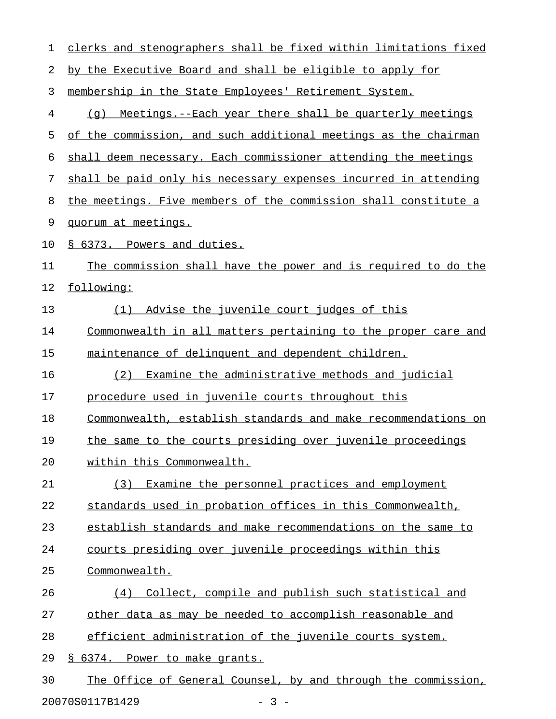| 1  | clerks and stenographers shall be fixed within limitations fixed |
|----|------------------------------------------------------------------|
| 2  | by the Executive Board and shall be eligible to apply for        |
| 3  | membership in the State Employees' Retirement System.            |
| 4  | Meetings.--Each year there shall be quarterly meetings<br>(a)    |
| 5  | of the commission, and such additional meetings as the chairman  |
| 6  | shall deem necessary. Each commissioner attending the meetings   |
| 7  | shall be paid only his necessary expenses incurred in attending  |
| 8  | the meetings. Five members of the commission shall constitute a  |
| 9  | quorum at meetings.                                              |
| 10 | § 6373. Powers and duties.                                       |
| 11 | The commission shall have the power and is required to do the    |
| 12 | following:                                                       |
| 13 | Advise the juvenile court judges of this<br>(1)                  |
| 14 | Commonwealth in all matters pertaining to the proper care and    |
| 15 | maintenance of delinquent and dependent children.                |
| 16 | Examine the administrative methods and judicial<br>(2)           |
| 17 | procedure used in juvenile courts throughout this                |
| 18 | Commonwealth, establish standards and make recommendations on    |
| 19 | the same to the courts presiding over juvenile proceedings       |
| 20 | within this Commonwealth.                                        |
| 21 | (3) Examine the personnel practices and employment               |
| 22 | standards used in probation offices in this Commonwealth,        |
| 23 | establish standards and make recommendations on the same to      |
| 24 | courts presiding over juvenile proceedings within this           |
| 25 | Commonwealth.                                                    |
| 26 | (4) Collect, compile and publish such statistical and            |
| 27 | other data as may be needed to accomplish reasonable and         |
| 28 | efficient administration of the juvenile courts system.          |
| 29 | § 6374. Power to make grants.                                    |
| 30 | The Office of General Counsel, by and through the commission,    |
|    | 20070S0117B1429<br>$-3 -$                                        |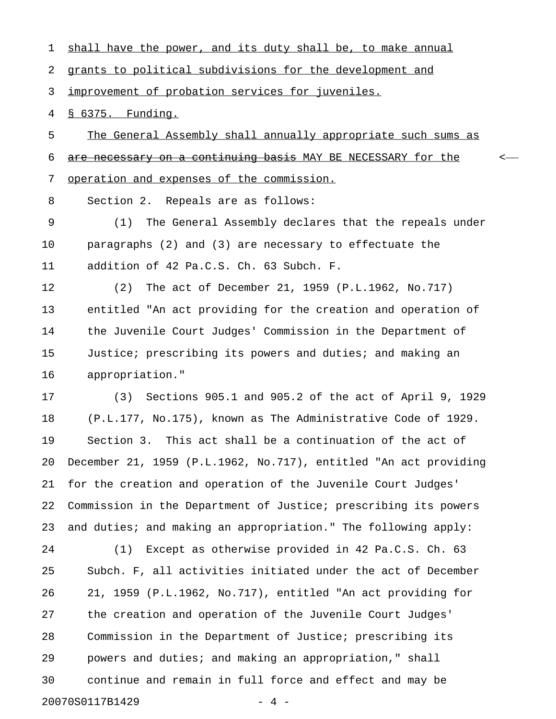2 grants to political subdivisions for the development and 3 improvement of probation services for juveniles. 4 § 6375. Funding. 5 The General Assembly shall annually appropriate such sums as 6 are necessary on a continuing basis MAY BE NECESSARY for the  $\sim$ 7 operation and expenses of the commission. 8 Section 2. Repeals are as follows: 9 (1) The General Assembly declares that the repeals under 10 paragraphs (2) and (3) are necessary to effectuate the 11 addition of 42 Pa.C.S. Ch. 63 Subch. F. 12 (2) The act of December 21, 1959 (P.L.1962, No.717) 13 entitled "An act providing for the creation and operation of 14 the Juvenile Court Judges' Commission in the Department of 15 Justice; prescribing its powers and duties; and making an 16 appropriation." 17 (3) Sections 905.1 and 905.2 of the act of April 9, 1929 18 (P.L.177, No.175), known as The Administrative Code of 1929. 19 Section 3. This act shall be a continuation of the act of 20 December 21, 1959 (P.L.1962, No.717), entitled "An act providing 21 for the creation and operation of the Juvenile Court Judges' 22 Commission in the Department of Justice; prescribing its powers 23 and duties; and making an appropriation." The following apply: 24 (1) Except as otherwise provided in 42 Pa.C.S. Ch. 63 25 Subch. F, all activities initiated under the act of December 26 21, 1959 (P.L.1962, No.717), entitled "An act providing for 27 the creation and operation of the Juvenile Court Judges' 28 Commission in the Department of Justice; prescribing its 29 powers and duties; and making an appropriation," shall 30 continue and remain in full force and effect and may be

20070S0117B1429 - 4 -

1 shall have the power, and its duty shall be, to make annual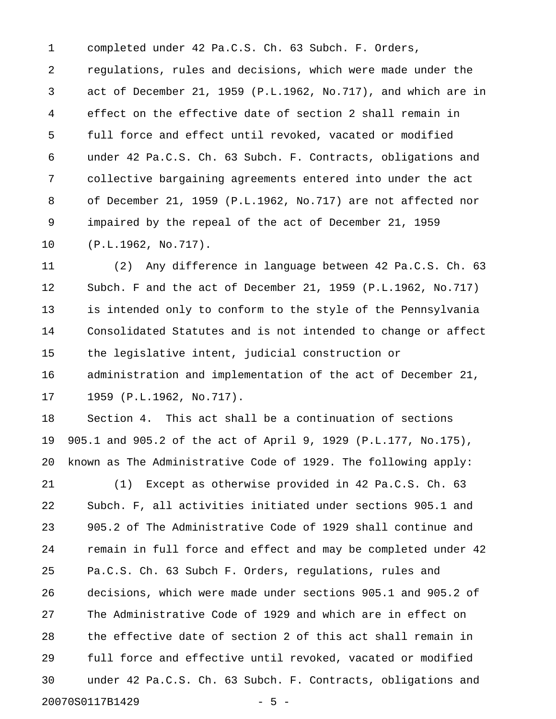1 completed under 42 Pa.C.S. Ch. 63 Subch. F. Orders, 2 regulations, rules and decisions, which were made under the 3 act of December 21, 1959 (P.L.1962, No.717), and which are in 4 effect on the effective date of section 2 shall remain in 5 full force and effect until revoked, vacated or modified 6 under 42 Pa.C.S. Ch. 63 Subch. F. Contracts, obligations and 7 collective bargaining agreements entered into under the act 8 of December 21, 1959 (P.L.1962, No.717) are not affected nor 9 impaired by the repeal of the act of December 21, 1959 10 (P.L.1962, No.717).

11 (2) Any difference in language between 42 Pa.C.S. Ch. 63 12 Subch. F and the act of December 21, 1959 (P.L.1962, No.717) 13 is intended only to conform to the style of the Pennsylvania 14 Consolidated Statutes and is not intended to change or affect 15 the legislative intent, judicial construction or 16 administration and implementation of the act of December 21, 17 1959 (P.L.1962, No.717).

18 Section 4. This act shall be a continuation of sections 19 905.1 and 905.2 of the act of April 9, 1929 (P.L.177, No.175), 20 known as The Administrative Code of 1929. The following apply:

21 (1) Except as otherwise provided in 42 Pa.C.S. Ch. 63 22 Subch. F, all activities initiated under sections 905.1 and 23 905.2 of The Administrative Code of 1929 shall continue and 24 remain in full force and effect and may be completed under 42 25 Pa.C.S. Ch. 63 Subch F. Orders, regulations, rules and 26 decisions, which were made under sections 905.1 and 905.2 of 27 The Administrative Code of 1929 and which are in effect on 28 the effective date of section 2 of this act shall remain in 29 full force and effective until revoked, vacated or modified 30 under 42 Pa.C.S. Ch. 63 Subch. F. Contracts, obligations and 20070S0117B1429 - 5 -